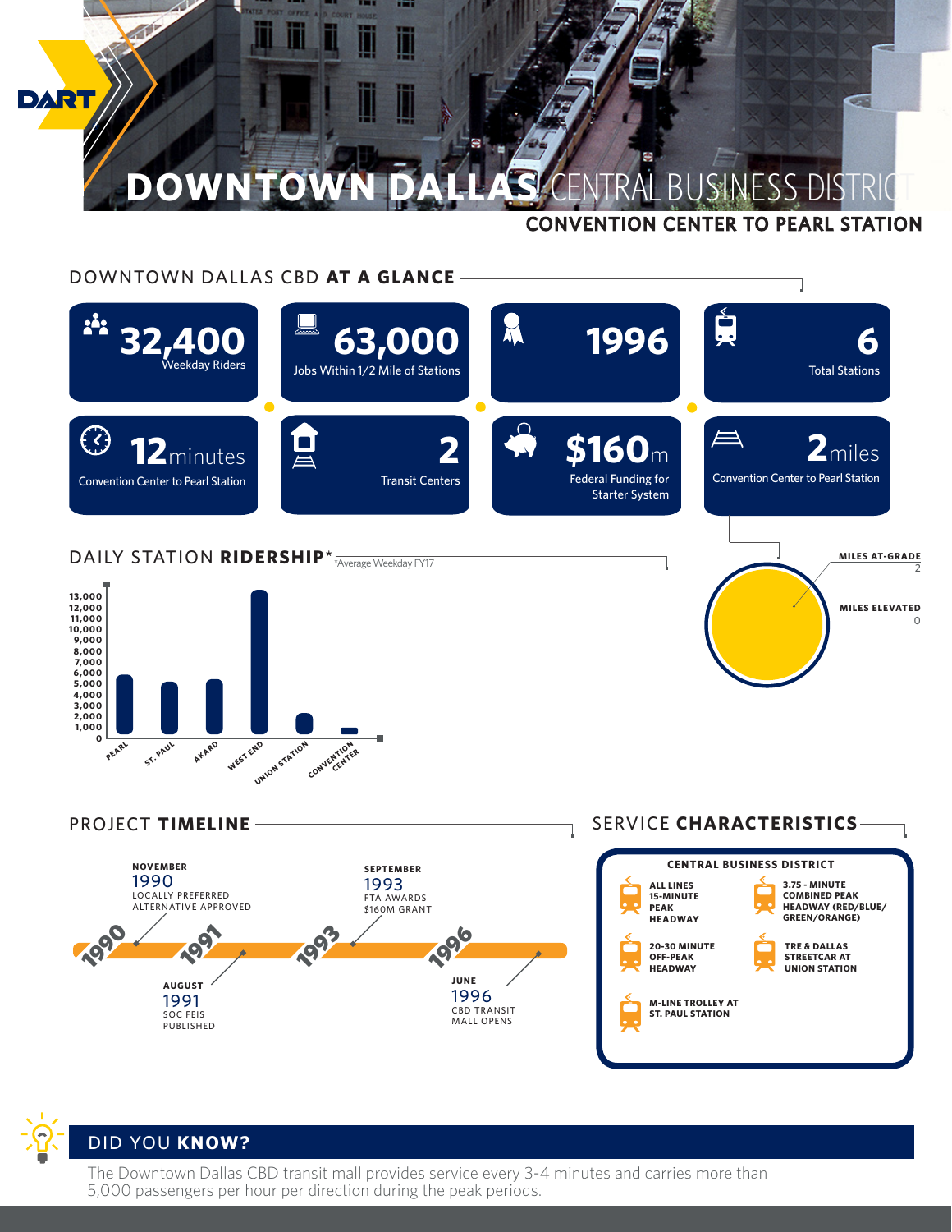

## DOWNTOWN DALLAS CBD **AT A GLANCE**



PROJECT **TIMELINE**



## SERVICE **CHARACTERISTICS**





The Downtown Dallas CBD transit mall provides service every 3-4 minutes and carries more than 5,000 passengers per hour per direction during the peak periods.